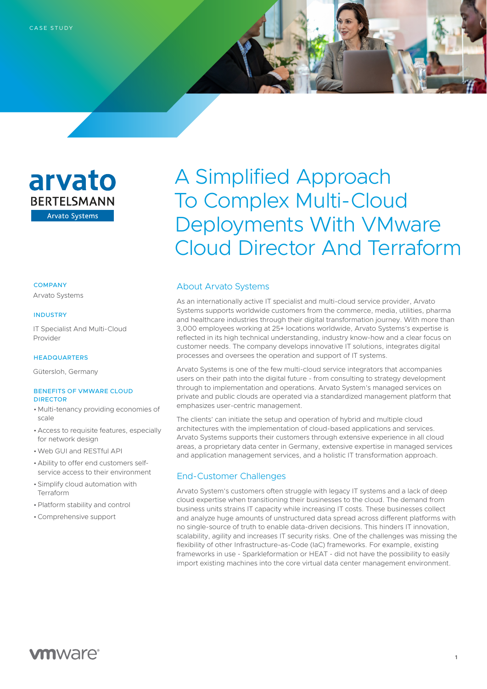

### **COMPANY**

Arvato Systems

#### INDUSTRY

 IT Specialist And Multi-Cloud Provider

## HEADQUARTERS

Gütersloh, Germany

## BENEFITS OF VMWARE CLOUD DIRECTOR

- Multi-tenancy providing economies of scale
- Access to requisite features, especially for network design
- •Web GUI and RESTful API
- Ability to offer end customers selfservice access to their environment
- Simplify cloud automation with Terraform
- •Platform stability and control
- •Comprehensive support

# A Simplified Approach To Complex Multi-Cloud Deployments With VMware Cloud Director And Terraform

## About Arvato Systems

As an internationally active IT specialist and multi-cloud service provider, Arvato Systems supports worldwide customers from the commerce, media, utilities, pharma and healthcare industries through their digital transformation journey. With more than 3,000 employees working at 25+ locations worldwide, Arvato Systems's expertise is reflected in its high technical understanding, industry know-how and a clear focus on customer needs. The company develops innovative IT solutions, integrates digital processes and oversees the operation and support of IT systems.

Arvato Systems is one of the few multi-cloud service integrators that accompanies users on their path into the digital future - from consulting to strategy development through to implementation and operations. Arvato System's managed services on private and public clouds are operated via a standardized management platform that emphasizes user-centric management.

The clients' can initiate the setup and operation of hybrid and multiple cloud architectures with the implementation of cloud-based applications and services. Arvato Systems supports their customers through extensive experience in all cloud areas, a proprietary data center in Germany, extensive expertise in managed services and application management services, and a holistic IT transformation approach.

## End-Customer Challenges

Arvato System's customers often struggle with legacy IT systems and a lack of deep cloud expertise when transitioning their businesses to the cloud. The demand from business units strains IT capacity while increasing IT costs. These businesses collect and analyze huge amounts of unstructured data spread across different platforms with no single-source of truth to enable data-driven decisions. This hinders IT innovation, scalability, agility and increases IT security risks. One of the challenges was missing the flexibility of other Infrastructure-as-Code (IaC) frameworks. For example, existing frameworks in use - Sparkleformation or HEAT - did not have the possibility to easily import existing machines into the core virtual data center management environment.

**1**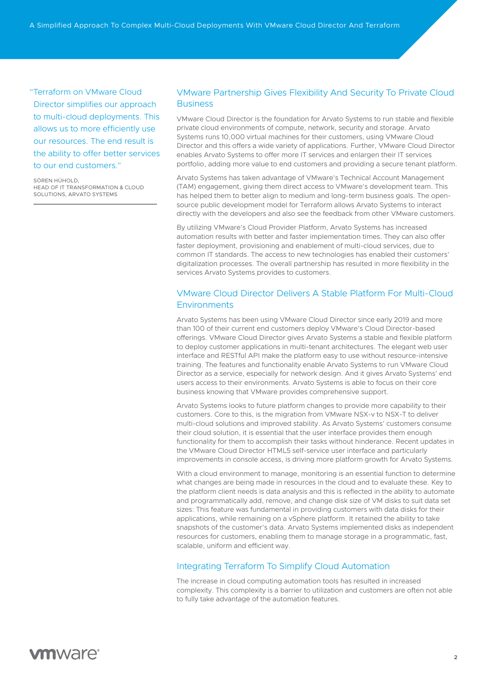A Simplified Approach To Complex Multi-Cloud Deployments With VMware Cloud Director And Terraform

"Terraform on VMware Cloud Director simplifies our approach to multi-cloud deployments. This allows us to more efficiently use our resources. The end result is the ability to offer better services to our end customers."

SÖREN HÜHOLD, HEAD OF IT TRANSFORMATION & CLOUD SOLUTIONS, ARVATO SYSTEMS

## VMware Partnership Gives Flexibility And Security To Private Cloud **Business**

VMware Cloud Director is the foundation for Arvato Systems to run stable and flexible private cloud environments of compute, network, security and storage. Arvato Systems runs 10,000 virtual machines for their customers, using VMware Cloud Director and this offers a wide variety of applications. Further, VMware Cloud Director enables Arvato Systems to offer more IT services and enlargen their IT services portfolio, adding more value to end customers and providing a secure tenant platform.

Arvato Systems has taken advantage of VMware's Technical Account Management (TAM) engagement, giving them direct access to VMware's development team. This has helped them to better align to medium and long-term business goals. The opensource public development model for Terraform allows Arvato Systems to interact directly with the developers and also see the feedback from other VMware customers.

By utilizing VMware's Cloud Provider Platform, Arvato Systems has increased automation results with better and faster implementation times. They can also offer faster deployment, provisioning and enablement of multi-cloud services, due to common IT standards. The access to new technologies has enabled their customers' digitalization processes. The overall partnership has resulted in more flexibility in the services Arvato Systems provides to customers.

# VMware Cloud Director Delivers A Stable Platform For Multi-Cloud **Environments**

Arvato Systems has been using VMware Cloud Director since early 2019 and more than 100 of their current end customers deploy VMware's Cloud Director-based offerings. VMware Cloud Director gives Arvato Systems a stable and flexible platform to deploy customer applications in multi-tenant architectures. The elegant web user interface and RESTful API make the platform easy to use without resource-intensive training. The features and functionality enable Arvato Systems to run VMware Cloud Director as a service, especially for network design. And it gives Arvato Systems' end users access to their environments. Arvato Systems is able to focus on their core business knowing that VMware provides comprehensive support.

Arvato Systems looks to future platform changes to provide more capability to their customers. Core to this, is the migration from VMware NSX-v to NSX-T to deliver multi-cloud solutions and improved stability. As Arvato Systems' customers consume their cloud solution, it is essential that the user interface provides them enough functionality for them to accomplish their tasks without hinderance. Recent updates in the VMware Cloud Director HTML5 self-service user interface and particularly improvements in console access, is driving more platform growth for Arvato Systems.

With a cloud environment to manage, monitoring is an essential function to determine what changes are being made in resources in the cloud and to evaluate these. Key to the platform client needs is data analysis and this is reflected in the ability to automate and programmatically add, remove, and change disk size of VM disks to suit data set sizes: This feature was fundamental in providing customers with data disks for their applications, while remaining on a vSphere platform. It retained the ability to take snapshots of the customer's data. Arvato Systems implemented disks as independent resources for customers, enabling them to manage storage in a programmatic, fast, scalable, uniform and efficient way.

## Integrating Terraform To Simplify Cloud Automation

The increase in cloud computing automation tools has resulted in increased complexity. This complexity is a barrier to utilization and customers are often not able to fully take advantage of the automation features.